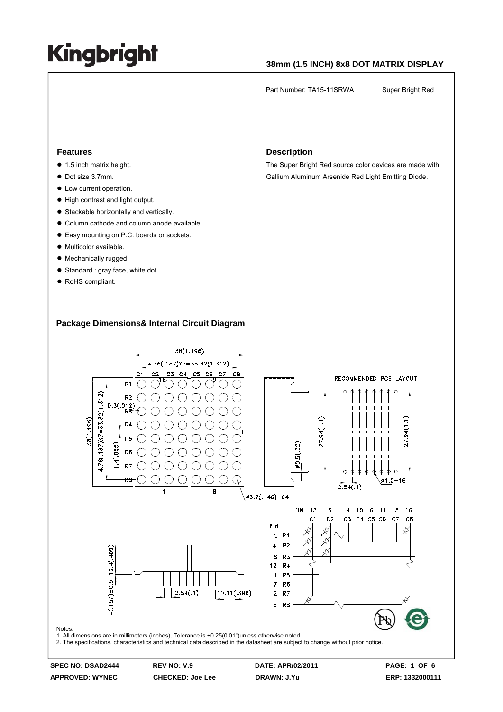#### **38mm (1.5 INCH) 8x8 DOT MATRIX DISPLAY**

Part Number: TA15-11SRWA Super Bright Red

#### **Features**

- $\bullet$  1.5 inch matrix height.
- Dot size 3.7mm.
- $\bullet$  Low current operation.
- High contrast and light output.
- Stackable horizontally and vertically.
- Column cathode and column anode available.
- Easy mounting on P.C. boards or sockets.
- $\bullet$  Multicolor available.
- Mechanically rugged.
- Standard : gray face, white dot.
- RoHS compliant.

#### **Description**

The Super Bright Red source color devices are made with Gallium Aluminum Arsenide Red Light Emitting Diode.

#### **Package Dimensions& Internal Circuit Diagram**

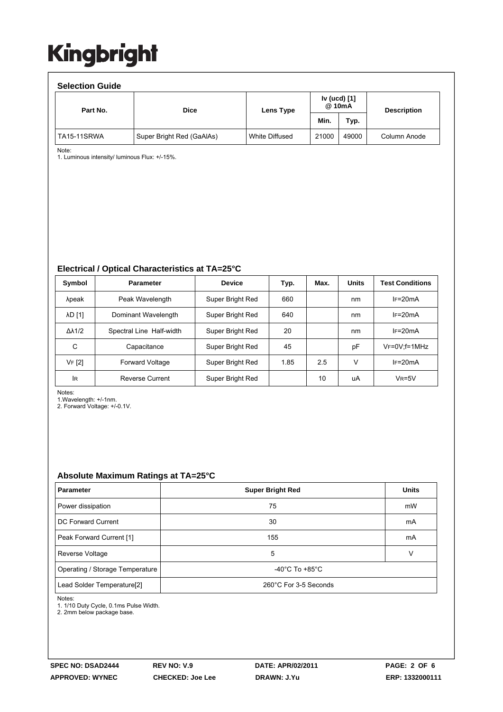| <b>Selection Guide</b> |                           |                |                        |       |                    |  |  |  |  |  |
|------------------------|---------------------------|----------------|------------------------|-------|--------------------|--|--|--|--|--|
| Part No.               | <b>Dice</b>               | Lens Type      | Iv (ucd) [1]<br>@ 10mA |       | <b>Description</b> |  |  |  |  |  |
|                        |                           |                | Min.                   | Typ.  |                    |  |  |  |  |  |
| TA15-11SRWA            | Super Bright Red (GaAlAs) | White Diffused | 21000                  | 49000 | Column Anode       |  |  |  |  |  |

Note:

1. Luminous intensity/ luminous Flux: +/-15%.

**Electrical / Optical Characteristics at TA=25°C**

| Symbol              | <b>Parameter</b>         | <b>Device</b>    | Typ. | Max. | <b>Units</b> | <b>Test Conditions</b> |
|---------------------|--------------------------|------------------|------|------|--------------|------------------------|
| λpeak               | Peak Wavelength          | Super Bright Red | 660  |      | nm           | $IF=20mA$              |
| <b>AD [1]</b>       | Dominant Wavelength      | Super Bright Red | 640  |      | nm           | $IF=20mA$              |
| $\Delta\lambda$ 1/2 | Spectral Line Half-width | Super Bright Red | 20   |      | nm           | $IF=20mA$              |
| C                   | Capacitance              | Super Bright Red | 45   |      | pF           | $V_F = 0V$ : f = 1MHz  |
| VF [2]              | <b>Forward Voltage</b>   | Super Bright Red | 1.85 | 2.5  | v            | $IF=20mA$              |
| <b>IR</b>           | <b>Reverse Current</b>   | Super Bright Red |      | 10   | uA           | $V_R = 5V$             |

Notes:

1.Wavelength: +/-1nm.

2. Forward Voltage: +/-0.1V.

#### **Absolute Maximum Ratings at TA=25°C**

| <b>Parameter</b>                                                | <b>Super Bright Red</b>              | <b>Units</b> |
|-----------------------------------------------------------------|--------------------------------------|--------------|
| Power dissipation                                               | 75                                   | mW           |
| DC Forward Current                                              | 30                                   | mA           |
| Peak Forward Current [1]                                        | 155                                  | mA           |
| Reverse Voltage                                                 | 5                                    | v            |
| Operating / Storage Temperature                                 | -40 $^{\circ}$ C To +85 $^{\circ}$ C |              |
| 260°C For 3-5 Seconds<br>Lead Solder Temperature <sup>[2]</sup> |                                      |              |

Notes:

1. 1/10 Duty Cycle, 0.1ms Pulse Width.

2. 2mm below package base.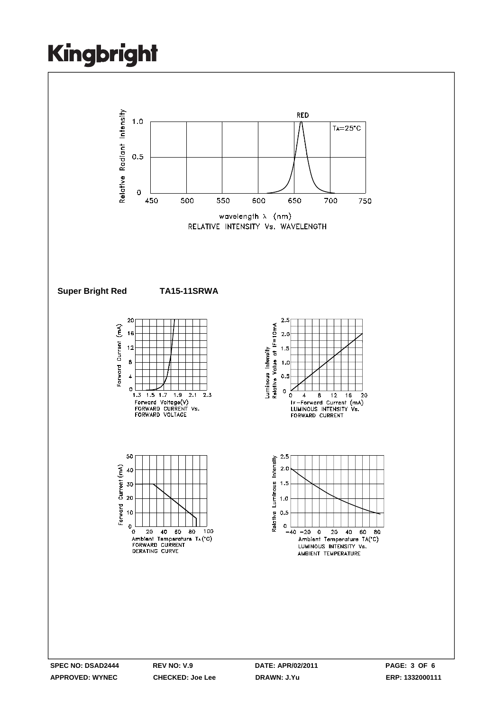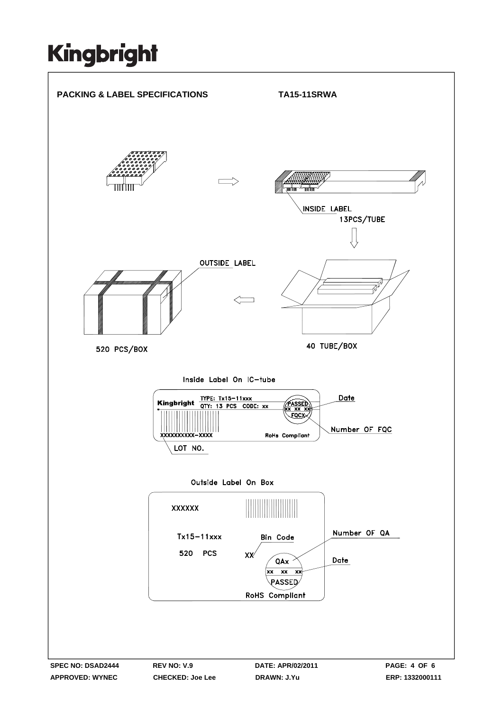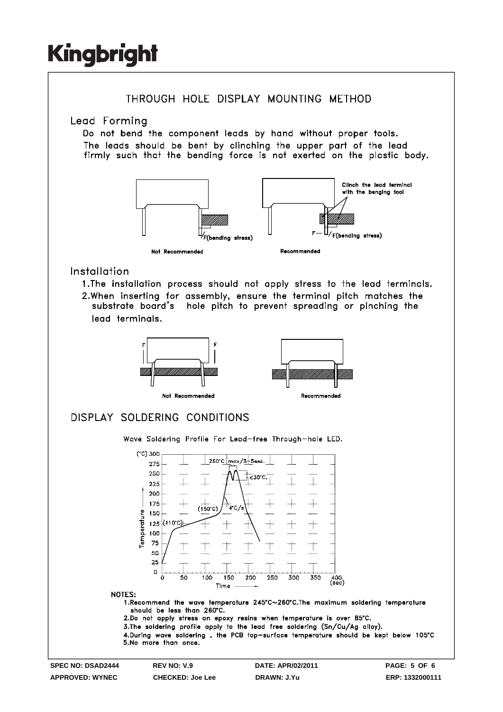